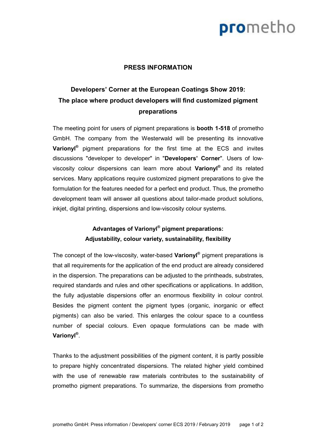# prometho

#### **PRESS INFORMATION**

### **Developers' Corner at the European Coatings Show 2019: The place where product developers will find customized pigment preparations**

The meeting point for users of pigment preparations is **booth 1-518** of prometho GmbH. The company from the Westerwald will be presenting its innovative **Varionyl®** pigment preparations for the first time at the ECS and invites discussions "developer to developer" in "**Developers' Corner**". Users of lowviscosity colour dispersions can learn more about **Varionyl®** and its related services. Many applications require customized pigment preparations to give the formulation for the features needed for a perfect end product. Thus, the prometho development team will answer all questions about tailor-made product solutions, inkjet, digital printing, dispersions and low-viscosity colour systems.

### **Advantages of Varionyl® pigment preparations: Adjustability, colour variety, sustainability, flexibility**

The concept of the low-viscosity, water-based **Varionyl®** pigment preparations is that all requirements for the application of the end product are already considered in the dispersion. The preparations can be adjusted to the printheads, substrates, required standards and rules and other specifications or applications. In addition, the fully adjustable dispersions offer an enormous flexibility in colour control. Besides the pigment content the pigment types (organic, inorganic or effect pigments) can also be varied. This enlarges the colour space to a countless number of special colours. Even opaque formulations can be made with **Varionyl®** .

Thanks to the adjustment possibilities of the pigment content, it is partly possible to prepare highly concentrated dispersions. The related higher yield combined with the use of renewable raw materials contributes to the sustainability of prometho pigment preparations. To summarize, the dispersions from prometho